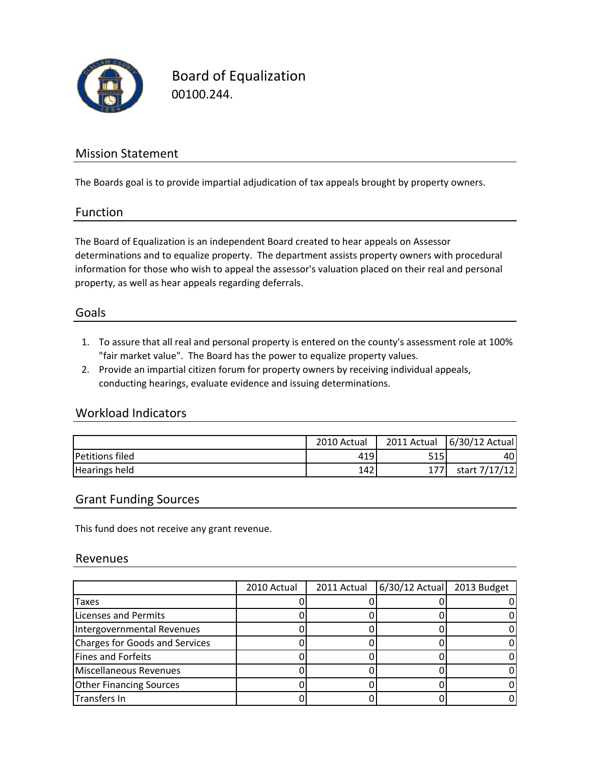

Board of Equalization 00100.244.

## Mission Statement

The Boards goal is to provide impartial adjudication of tax appeals brought by property owners.

#### Function

The Board of Equalization is an independent Board created to hear appeals on Assessor determinations and to equalize property. The department assists property owners with procedural information for those who wish to appeal the assessor's valuation placed on their real and personal property, as well as hear appeals regarding deferrals.

### Goals

- 1. To assure that all real and personal property is entered on the county's assessment role at 100% "fair market value". The Board has the power to equalize property values.
- 2. Provide an impartial citizen forum for property owners by receiving individual appeals, conducting hearings, evaluate evidence and issuing determinations.

### Workload Indicators

|                        | 2010 Actual | 2011 Actual | 6/30/12 Actual |
|------------------------|-------------|-------------|----------------|
| <b>Petitions filed</b> | 419         | 515         | 40             |
| <b>Hearings held</b>   | 142         |             | start 7/17/12  |

#### Grant Funding Sources

This fund does not receive any grant revenue.

#### Revenues

|                                       | 2010 Actual | 2011 Actual | 6/30/12 Actual 2013 Budget |  |
|---------------------------------------|-------------|-------------|----------------------------|--|
| Taxes                                 |             |             |                            |  |
| <b>Licenses and Permits</b>           |             |             |                            |  |
| Intergovernmental Revenues            |             |             |                            |  |
| <b>Charges for Goods and Services</b> |             |             |                            |  |
| Fines and Forfeits                    |             |             |                            |  |
| Miscellaneous Revenues                |             |             |                            |  |
| <b>Other Financing Sources</b>        |             |             |                            |  |
| <b>Transfers In</b>                   |             |             |                            |  |